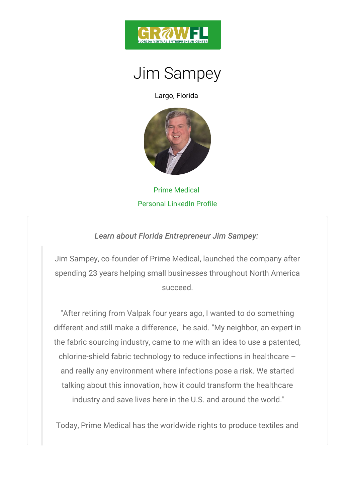

## Jim Sampey

Largo, Florida

## Prime Medical Personal LinkedIn Profile

Learn about Florida Entrepreneur Jim Sampey:

Jim Sampey, co-founder of Prime Medical, launched the spending 23 years helping small businesses throughor succeed.

"After retiring from Valpak four years ago, I wanted different and still make a difference," he said. "My ne the fabric sourcing industry, came to me with an idea chlorine-shield fabric technology to reduce infections and really any environment where infections pose a talking about this innovation, how it could transform industry and save lives here in the U.S. and aroun

Today, Prime Medical has the worldwide rights to pro